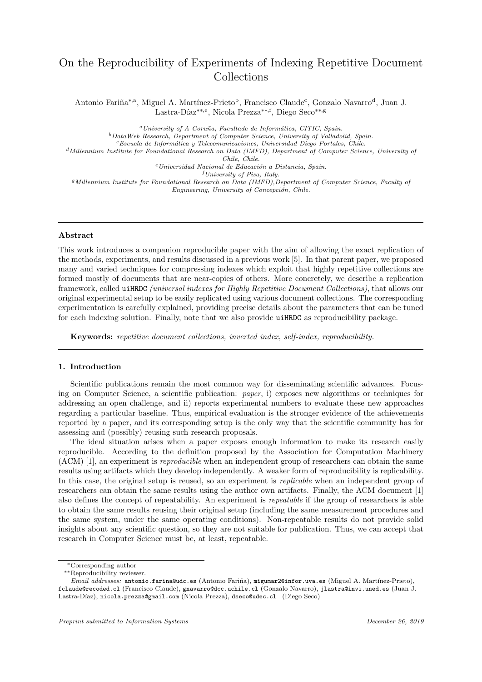# On the Reproducibility of Experiments of Indexing Repetitive Document Collections

Antonio Fariña<sup>∗,a</sup>, Miguel A. Martínez-Prieto<sup>b</sup>, Francisco Claude<sup>c</sup>, Gonzalo Navarro<sup>d</sup>, Juan J. Lastra-Díaz<sup>∗∗,e</sup>, Nicola Prezza<sup>∗∗,f</sup>, Diego Seco<sup>∗∗,g</sup>

 $^{a}$ University of A Coruña, Facultade de Informática, CITIC, Spain.

<sup>b</sup>DataWeb Research, Department of Computer Science, University of Valladolid, Spain.

 $c$ Escuela de Informática y Telecomunicaciones, Universidad Diego Portales, Chile.

 $d$ Millennium Institute for Foundational Research on Data (IMFD), Department of Computer Science, University of Chile, Chile.

 $e$ Universidad Nacional de Educación a Distancia, Spain.

 $f$ University of Pisa, Italy.

<sup>g</sup>Millennium Institute for Foundational Research on Data (IMFD),Department of Computer Science, Faculty of Engineering, University of Concepción, Chile.

# Abstract

This work introduces a companion reproducible paper with the aim of allowing the exact replication of the methods, experiments, and results discussed in a previous work [5]. In that parent paper, we proposed many and varied techniques for compressing indexes which exploit that highly repetitive collections are formed mostly of documents that are near-copies of others. More concretely, we describe a replication framework, called uiHRDC (universal indexes for Highly Repetitive Document Collections), that allows our original experimental setup to be easily replicated using various document collections. The corresponding experimentation is carefully explained, providing precise details about the parameters that can be tuned for each indexing solution. Finally, note that we also provide uiHRDC as reproducibility package.

Keywords: repetitive document collections, inverted index, self-index, reproducibility.

# 1. Introduction

Scientific publications remain the most common way for disseminating scientific advances. Focusing on Computer Science, a scientific publication: paper, i) exposes new algorithms or techniques for addressing an open challenge, and ii) reports experimental numbers to evaluate these new approaches regarding a particular baseline. Thus, empirical evaluation is the stronger evidence of the achievements reported by a paper, and its corresponding setup is the only way that the scientific community has for assessing and (possibly) reusing such research proposals.

The ideal situation arises when a paper exposes enough information to make its research easily reproducible. According to the definition proposed by the Association for Computation Machinery (ACM) [1], an experiment is reproducible when an independent group of researchers can obtain the same results using artifacts which they develop independently. A weaker form of reproducibility is replicability. In this case, the original setup is reused, so an experiment is *replicable* when an independent group of researchers can obtain the same results using the author own artifacts. Finally, the ACM document [1] also defines the concept of repeatability. An experiment is repeatable if the group of researchers is able to obtain the same results reusing their original setup (including the same measurement procedures and the same system, under the same operating conditions). Non-repeatable results do not provide solid insights about any scientific question, so they are not suitable for publication. Thus, we can accept that research in Computer Science must be, at least, repeatable.

<sup>∗</sup>Corresponding author

<sup>∗∗</sup>Reproducibility reviewer.

Email addresses: antonio.farina@udc.es (Antonio Fariña), migumar2@infor.uva.es (Miguel A. Martínez-Prieto), fclaude@recoded.cl (Francisco Claude), gnavarro@dcc.uchile.cl (Gonzalo Navarro), jlastra@invi.uned.es (Juan J. Lastra-Díaz), nicola.prezza@gmail.com (Nicola Prezza), dseco@udec.cl (Diego Seco)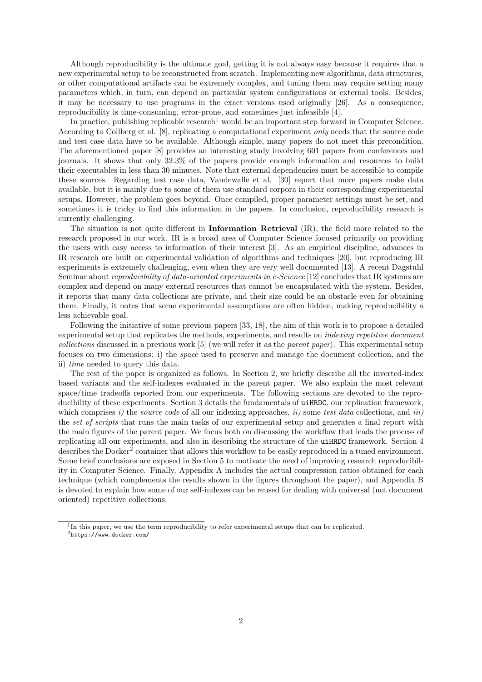Although reproducibility is the ultimate goal, getting it is not always easy because it requires that a new experimental setup to be reconstructed from scratch. Implementing new algorithms, data structures, or other computational artifacts can be extremely complex, and tuning them may require setting many parameters which, in turn, can depend on particular system configurations or external tools. Besides, it may be necessary to use programs in the exact versions used originally [26]. As a consequence, reproducibility is time-consuming, error-prone, and sometimes just infeasible [4].

In practice, publishing replicable research<sup>1</sup> would be an important step forward in Computer Science. According to Collberg et al. [8], replicating a computational experiment only needs that the source code and test case data have to be available. Although simple, many papers do not meet this precondition. The aforementioned paper [8] provides an interesting study involving 601 papers from conferences and journals. It shows that only 32.3% of the papers provide enough information and resources to build their executables in less than 30 minutes. Note that external dependencies must be accessible to compile these sources. Regarding test case data, Vandewalle et al. [30] report that more papers make data available, but it is mainly due to some of them use standard corpora in their corresponding experimental setups. However, the problem goes beyond. Once compiled, proper parameter settings must be set, and sometimes it is tricky to find this information in the papers. In conclusion, reproducibility research is currently challenging.

The situation is not quite different in **Information Retrieval** (IR), the field more related to the research proposed in our work. IR is a broad area of Computer Science focused primarily on providing the users with easy access to information of their interest [3]. As an empirical discipline, advances in IR research are built on experimental validation of algorithms and techniques [20], but reproducing IR experiments is extremely challenging, even when they are very well documented [13]. A recent Dagstuhl Seminar about *reproducibility of data-oriented experiments in e-Science* [12] concludes that IR systems are complex and depend on many external resources that cannot be encapsulated with the system. Besides, it reports that many data collections are private, and their size could be an obstacle even for obtaining them. Finally, it notes that some experimental assumptions are often hidden, making reproducibility a less achievable goal.

Following the initiative of some previous papers [33, 18], the aim of this work is to propose a detailed experimental setup that replicates the methods, experiments, and results on indexing repetitive document collections discussed in a previous work [5] (we will refer it as the parent paper). This experimental setup focuses on two dimensions: i) the space used to preserve and manage the document collection, and the ii) time needed to query this data.

The rest of the paper is organized as follows. In Section 2, we briefly describe all the inverted-index based variants and the self-indexes evaluated in the parent paper. We also explain the most relevant space/time tradeoffs reported from our experiments. The following sections are devoted to the reproducibility of these experiments. Section 3 details the fundamentals of uiHRDC, our replication framework, which comprises i) the *source code* of all our indexing approaches, ii) some test data collections, and iii) the set of scripts that runs the main tasks of our experimental setup and generates a final report with the main figures of the parent paper. We focus both on discussing the workflow that leads the process of replicating all our experiments, and also in describing the structure of the uiHRDC framework. Section 4 describes the Docker<sup>2</sup> container that allows this workflow to be easily reproduced in a tuned environment. Some brief conclusions are exposed in Section 5 to motivate the need of improving research reproducibility in Computer Science. Finally, Appendix A includes the actual compression ratios obtained for each technique (which complements the results shown in the figures throughout the paper), and Appendix B is devoted to explain how some of our self-indexes can be reused for dealing with universal (not document oriented) repetitive collections.

<sup>&</sup>lt;sup>1</sup>In this paper, we use the term reproducibility to refer experimental setups that can be replicated. <sup>2</sup>https://www.docker.com/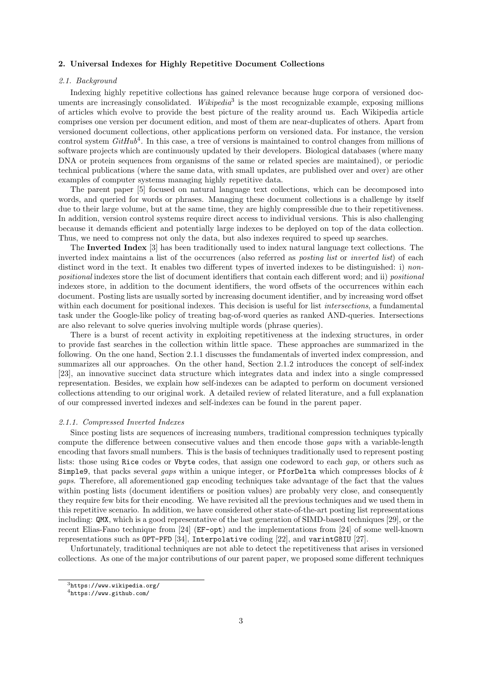# 2. Universal Indexes for Highly Repetitive Document Collections

# 2.1. Background

Indexing highly repetitive collections has gained relevance because huge corpora of versioned documents are increasingly consolidated. Wikipedia<sup>3</sup> is the most recognizable example, exposing millions of articles which evolve to provide the best picture of the reality around us. Each Wikipedia article comprises one version per document edition, and most of them are near-duplicates of others. Apart from versioned document collections, other applications perform on versioned data. For instance, the version control system  $GitHub<sup>4</sup>$ . In this case, a tree of versions is maintained to control changes from millions of software projects which are continuously updated by their developers. Biological databases (where many DNA or protein sequences from organisms of the same or related species are maintained), or periodic technical publications (where the same data, with small updates, are published over and over) are other examples of computer systems managing highly repetitive data.

The parent paper [5] focused on natural language text collections, which can be decomposed into words, and queried for words or phrases. Managing these document collections is a challenge by itself due to their large volume, but at the same time, they are highly compressible due to their repetitiveness. In addition, version control systems require direct access to individual versions. This is also challenging because it demands efficient and potentially large indexes to be deployed on top of the data collection. Thus, we need to compress not only the data, but also indexes required to speed up searches.

The Inverted Index [3] has been traditionally used to index natural language text collections. The inverted index maintains a list of the occurrences (also referred as *posting list* or *inverted list*) of each distinct word in the text. It enables two different types of inverted indexes to be distinguished: i) nonpositional indexes store the list of document identifiers that contain each different word; and ii) positional indexes store, in addition to the document identifiers, the word offsets of the occurrences within each document. Posting lists are usually sorted by increasing document identifier, and by increasing word offset within each document for positional indexes. This decision is useful for list *intersections*, a fundamental task under the Google-like policy of treating bag-of-word queries as ranked AND-queries. Intersections are also relevant to solve queries involving multiple words (phrase queries).

There is a burst of recent activity in exploiting repetitiveness at the indexing structures, in order to provide fast searches in the collection within little space. These approaches are summarized in the following. On the one hand, Section 2.1.1 discusses the fundamentals of inverted index compression, and summarizes all our approaches. On the other hand, Section 2.1.2 introduces the concept of self-index [23], an innovative succinct data structure which integrates data and index into a single compressed representation. Besides, we explain how self-indexes can be adapted to perform on document versioned collections attending to our original work. A detailed review of related literature, and a full explanation of our compressed inverted indexes and self-indexes can be found in the parent paper.

#### 2.1.1. Compressed Inverted Indexes

Since posting lists are sequences of increasing numbers, traditional compression techniques typically compute the difference between consecutive values and then encode those gaps with a variable-length encoding that favors small numbers. This is the basis of techniques traditionally used to represent posting lists: those using Rice codes or Vbyte codes, that assign one codeword to each *qap*, or others such as Simple9, that packs several gaps within a unique integer, or PforDelta which compresses blocks of  $k$ gaps. Therefore, all aforementioned gap encoding techniques take advantage of the fact that the values within posting lists (document identifiers or position values) are probably very close, and consequently they require few bits for their encoding. We have revisited all the previous techniques and we used them in this repetitive scenario. In addition, we have considered other state-of-the-art posting list representations including: QMX, which is a good representative of the last generation of SIMD-based techniques [29], or the recent Elias-Fano technique from [24] (EF-opt) and the implementations from [24] of some well-known representations such as OPT-PFD [34], Interpolative coding [22], and varintG8IU [27].

Unfortunately, traditional techniques are not able to detect the repetitiveness that arises in versioned collections. As one of the major contributions of our parent paper, we proposed some different techniques

 $3$ https://www.wikipedia.org/

<sup>4</sup>https://www.github.com/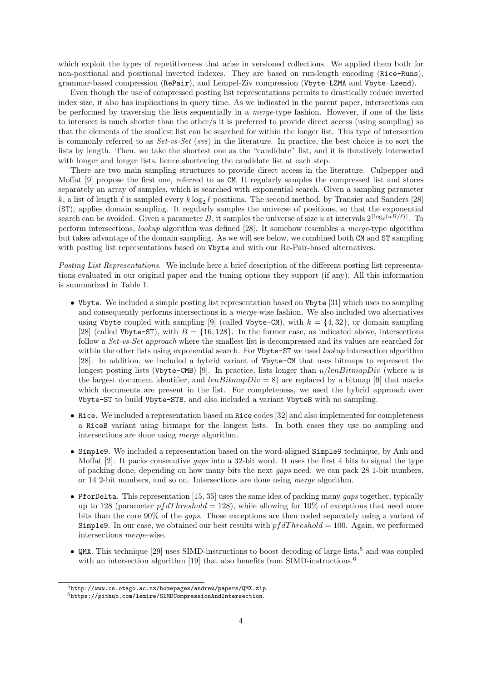which exploit the types of repetitiveness that arise in versioned collections. We applied them both for non-positional and positional inverted indexes. They are based on run-length encoding (Rice-Runs), grammar-based compression (RePair), and Lempel-Ziv compression (Vbyte-LZMA and Vbyte-Lzend).

Even though the use of compressed posting list representations permits to drastically reduce inverted index size, it also has implications in query time. As we indicated in the parent paper, intersections can be performed by traversing the lists sequentially in a merge-type fashion. However, if one of the lists to intersect is much shorter than the other/s it is preferred to provide direct access (using sampling) so that the elements of the smallest list can be searched for within the longer list. This type of intersection is commonly referred to as  $Set$ -vs- $Set$  (svs) in the literature. In practice, the best choice is to sort the lists by length. Then, we take the shortest one as the "candidate" list, and it is iteratively intersected with longer and longer lists, hence shortening the candidate list at each step.

There are two main sampling structures to provide direct access in the literature. Culpepper and Moffat [9] propose the first one, referred to as CM. It regularly samples the compressed list and stores separately an array of samples, which is searched with exponential search. Given a sampling parameter k, a list of length  $\ell$  is sampled every  $k \log_2 \ell$  positions. The second method, by Transier and Sanders [28] (ST), applies domain sampling. It regularly samples the universe of positions, so that the exponential search can be avoided. Given a parameter B, it samples the universe of size u at intervals  $2^{\lceil \log_2(uB/\ell) \rceil}$ . To perform intersections, lookup algorithm was defined [28]. It somehow resembles a merge-type algorithm but takes advantage of the domain sampling. As we will see below, we combined both CM and ST sampling with posting list representations based on Vbyte and with our Re-Pair-based alternatives.

Posting List Representations. We include here a brief description of the different posting list representations evaluated in our original paper and the tuning options they support (if any). All this information is summarized in Table 1.

- Vbyte. We included a simple posting list representation based on Vbyte [31] which uses no sampling and consequently performs intersections in a *merge*-wise fashion. We also included two alternatives using Vbyte coupled with sampling [9] (called Vbyte-CM), with  $k = \{4, 32\}$ , or domain sampling [28] (called Vbyte-ST), with  $B = \{16, 128\}$ . In the former case, as indicated above, intersections follow a *Set-vs-Set approach* where the smallest list is decompressed and its values are searched for within the other lists using exponential search. For Vbyte-ST we used *lookup* intersection algorithm [28]. In addition, we included a hybrid variant of Vbyte-CM that uses bitmaps to represent the longest posting lists (Vbyte-CMB) [9]. In practice, lists longer than  $u/lenBitmapDiv$  (where u is the largest document identifier, and  $lenBitmapDiv = 8$ ) are replaced by a bitmap [9] that marks which documents are present in the list. For completeness, we used the hybrid approach over Vbyte-ST to build Vbyte-STB, and also included a variant VbyteB with no sampling.
- Rice. We included a representation based on Rice codes [32] and also implemented for completeness a RiceB variant using bitmaps for the longest lists. In both cases they use no sampling and intersections are done using merge algorithm.
- Simple9. We included a representation based on the word-aligned Simple9 technique, by Anh and Moffat  $[2]$ . It packs consecutive gaps into a 32-bit word. It uses the first 4 bits to signal the type of packing done, depending on how many bits the next *gaps* need: we can pack  $28$  1-bit numbers, or 14 2-bit numbers, and so on. Intersections are done using merge algorithm.
- PforDelta. This representation  $[15, 35]$  uses the same idea of packing many gaps together, typically up to 128 (parameter  $pfdThreshold = 128$ ), while allowing for 10% of exceptions that need more bits than the core 90% of the gaps. Those exceptions are then coded separately using a variant of Simple9. In our case, we obtained our best results with  $pfdThreshold = 100$ . Again, we performed intersections merge-wise.
- $QMX$ . This technique [29] uses SIMD-instructions to boost decoding of large lists,<sup>5</sup> and was coupled with an intersection algorithm [19] that also benefits from SIMD-instructions.<sup>6</sup>

<sup>5</sup>http://www.cs.otago.ac.nz/homepages/andrew/papers/QMX.zip.

<sup>6</sup>https://github.com/lemire/SIMDCompressionAndIntersection.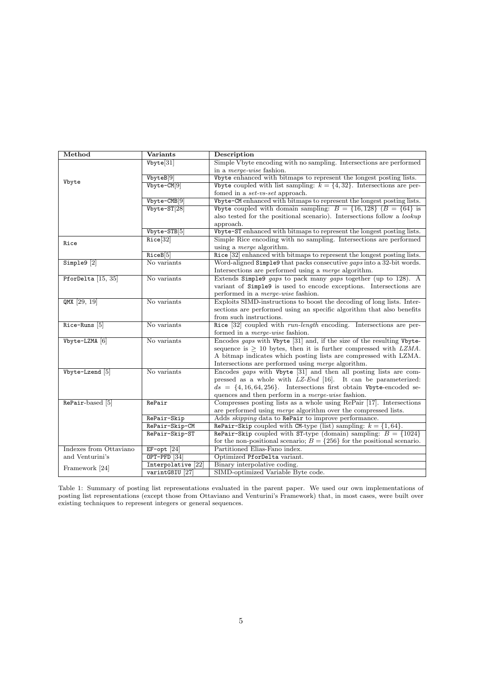| Method                 | <b>Variants</b>    | Description                                                                    |
|------------------------|--------------------|--------------------------------------------------------------------------------|
|                        | Vbyte[31]          | Simple V byte encoding with no sampling. Intersections are performed           |
|                        |                    | in a <i>merge-wise</i> fashion.                                                |
| Vbyte                  | $V$ byte $B[9]$    | Vbyte enhanced with bitmaps to represent the longest posting lists.            |
|                        | $Vbyte-CM[9]$      | Vbyte coupled with list sampling: $k = \{4, 32\}$ . Intersections are per-     |
|                        |                    | fomed in a <i>set-vs-set</i> approach.                                         |
|                        | $Vbyte-CMB[9]$     | Vbyte-CM enhanced with bitmaps to represent the longest posting lists.         |
|                        | VbyteST[28]        | Vbyte coupled with domain sampling: $B = \{16, 128\}$ $(B = \{64\}$ is         |
|                        |                    | also tested for the positional scenario). Intersections follow a <i>lookup</i> |
|                        |                    | approach.                                                                      |
|                        | $Vbyte-STB[5]$     | Vbyte-ST enhanced with bitmaps to represent the longest posting lists.         |
| Rice                   | Rice[32]           | Simple Rice encoding with no sampling. Intersections are performed             |
|                        |                    | using a <i>merge</i> algorithm.                                                |
|                        | RiceB[5]           | Rice [32] enhanced with bitmaps to represent the longest posting lists.        |
| Simple9 $[2]$          | No variants        | Word-aligned Simple9 that packs consecutive <i>qaps</i> into a 32-bit words.   |
|                        |                    | Intersections are performed using a <i>merge</i> algorithm.                    |
| PforDelta $[15, 35]$   | No variants        | Extends Simple9 <i>gaps</i> to pack many <i>gaps</i> together (up to 128). A   |
|                        |                    | variant of Simple9 is used to encode exceptions. Intersections are             |
|                        |                    | performed in a <i>merge-wise</i> fashion.                                      |
| QMX [29, 19]           | No variants        | Exploits SIMD-instructions to boost the decoding of long lists. Inter-         |
|                        |                    | sections are performed using an specific algorithm that also benefits          |
|                        |                    | from such instructions.                                                        |
| Rice-Runs [5]          | No variants        | Rice [32] coupled with run-length encoding. Intersections are per-             |
|                        |                    | formed in a <i>merge-wise</i> fashion.                                         |
| Vbyte-LZMA [6]         | No variants        | Encodes gaps with Vbyte [31] and, if the size of the resulting Vbyte-          |
|                        |                    | sequence is $> 10$ bytes, then it is further compressed with LZMA.             |
|                        |                    | A bitmap indicates which posting lists are compressed with LZMA.               |
|                        |                    | Intersections are performed using <i>merge</i> algorithm.                      |
| Vbyte-Lzend [5]        | No variants        | Encodes $qaps$ with Vbyte [31] and then all posting lists are com-             |
|                        |                    | pressed as a whole with $LZ$ -End [16]. It can be parameterized:               |
|                        |                    | $ds = \{4, 16, 64, 256\}.$ Intersections first obtain Vbyte-encoded se-        |
|                        |                    | quences and then perform in a <i>merge-wise</i> fashion.                       |
| RePair-based [5]       | RePair             | Compresses posting lists as a whole using RePair [17]. Intersections           |
|                        |                    | are performed using <i>merge</i> algorithm over the compressed lists.          |
|                        | RePair-Skip        | Adds <i>skipping</i> data to RePair to improve performance.                    |
|                        | RePair-Skip-CM     | RePair-Skip coupled with CM-type (list) sampling: $k = \{1, 64\}.$             |
|                        | RePair-Skip-ST     | RePair-Skip coupled with ST-type (domain) sampling: $B = \{1024\}$             |
|                        |                    | for the non-positional scenario; $B = \{256\}$ for the positional scenario.    |
| Indexes from Ottaviano | $EF$ -opt $[24]$   | Partitioned Elias-Fano index.                                                  |
| and Venturini's        | $OPT-PPD$ $34$     | Optimized PforDelta variant.                                                   |
| Framework [24]         | Interpolative [22] | Binary interpolative coding.                                                   |
|                        | varintG8IU [27]    | SIMD-optimized Variable Byte code.                                             |

Table 1: Summary of posting list representations evaluated in the parent paper. We used our own implementations of posting list representations (except those from Ottaviano and Venturini's Framework) that, in most cases, were built over existing techniques to represent integers or general sequences.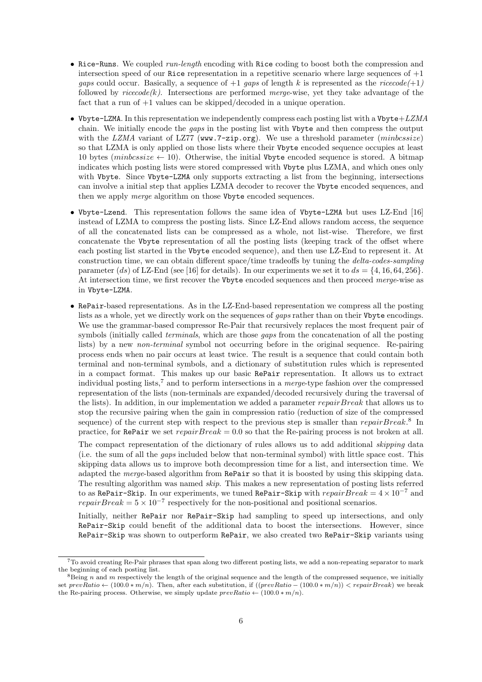- Rice-Runs. We coupled *run-length* encoding with Rice coding to boost both the compression and intersection speed of our Rice representation in a repetitive scenario where large sequences of  $+1$ gaps could occur. Basically, a sequence of  $+1$  gaps of length k is represented as the  $ricecode(+1)$ followed by  $ricecode(k)$ . Intersections are performed merge-wise, yet they take advantage of the fact that a run of +1 values can be skipped/decoded in a unique operation.
- Vbyte-LZMA. In this representation we independently compress each posting list with a Vbyte+ $LZMA$ chain. We initially encode the *gaps* in the posting list with Vbyte and then compress the output with the LZMA variant of LZ77 (www.7-zip.org). We use a threshold parameter (*minbcssize*) so that LZMA is only applied on those lists where their Vbyte encoded sequence occupies at least 10 bytes (*minbcssize*  $\leftarrow$  10). Otherwise, the initial Vbyte encoded sequence is stored. A bitmap indicates which posting lists were stored compressed with Vbyte plus LZMA, and which ones only with Vbyte. Since Vbyte-LZMA only supports extracting a list from the beginning, intersections can involve a initial step that applies LZMA decoder to recover the Vbyte encoded sequences, and then we apply *merge* algorithm on those Vbyte encoded sequences.
- Vbyte-Lzend. This representation follows the same idea of Vbyte-LZMA but uses LZ-End [16] instead of LZMA to compress the posting lists. Since LZ-End allows random access, the sequence of all the concatenated lists can be compressed as a whole, not list-wise. Therefore, we first concatenate the Vbyte representation of all the posting lists (keeping track of the offset where each posting list started in the Vbyte encoded sequence), and then use LZ-End to represent it. At construction time, we can obtain different space/time tradeoffs by tuning the delta-codes-sampling parameter (ds) of LZ-End (see [16] for details). In our experiments we set it to  $ds = \{4, 16, 64, 256\}$ . At intersection time, we first recover the Vbyte encoded sequences and then proceed merge-wise as in Vbyte-LZMA.
- RePair-based representations. As in the LZ-End-based representation we compress all the posting lists as a whole, yet we directly work on the sequences of *gaps* rather than on their Vbyte encodings. We use the grammar-based compressor Re-Pair that recursively replaces the most frequent pair of symbols (initially called *terminals*, which are those *gaps* from the concatenation of all the posting lists) by a new *non-terminal* symbol not occurring before in the original sequence. Re-pairing process ends when no pair occurs at least twice. The result is a sequence that could contain both terminal and non-terminal symbols, and a dictionary of substitution rules which is represented in a compact format. This makes up our basic RePair representation. It allows us to extract individual posting lists,<sup>7</sup> and to perform intersections in a *merge*-type fashion over the compressed representation of the lists (non-terminals are expanded/decoded recursively during the traversal of the lists). In addition, in our implementation we added a parameter  $repairBreak$  that allows us to stop the recursive pairing when the gain in compression ratio (reduction of size of the compressed sequence) of the current step with respect to the previous step is smaller than  $repairBreak$ <sup>8</sup> In practice, for RePair we set  $repairBreak = 0.0$  so that the Re-pairing process is not broken at all.

The compact representation of the dictionary of rules allows us to add additional *skipping* data (i.e. the sum of all the gaps included below that non-terminal symbol) with little space cost. This skipping data allows us to improve both decompression time for a list, and intersection time. We adapted the merge-based algorithm from RePair so that it is boosted by using this skipping data. The resulting algorithm was named *skip*. This makes a new representation of posting lists referred to as RePair-Skip. In our experiments, we tuned RePair-Skip with  $repairBreak = 4 \times 10^{-7}$  and  $repairBreak = 5 \times 10^{-7}$  respectively for the non-positional and positional scenarios.

Initially, neither RePair nor RePair-Skip had sampling to speed up intersections, and only RePair-Skip could benefit of the additional data to boost the intersections. However, since RePair-Skip was shown to outperform RePair, we also created two RePair-Skip variants using

<sup>7</sup>To avoid creating Re-Pair phrases that span along two different posting lists, we add a non-repeating separator to mark the beginning of each posting list.

 ${}^{8}$ Being n and m respectively the length of the original sequence and the length of the compressed sequence, we initially set  $prevRatio \leftarrow (100.0 * m/n)$ . Then, after each substitution, if  $((prevRatio - (100.0 * m/n)) < regularbreak$  we break the Re-pairing process. Otherwise, we simply update  $prevRatio \leftarrow (100.0 * m/n)$ .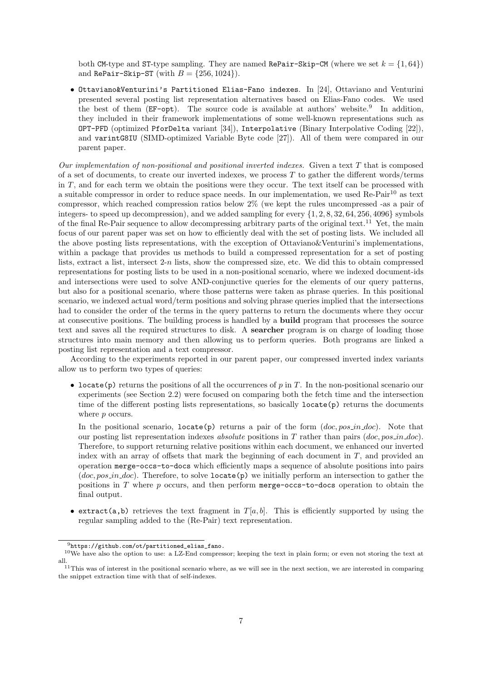both CM-type and ST-type sampling. They are named RePair-Skip-CM (where we set  $k = \{1, 64\}$ ) and RePair-Skip-ST (with  $B = \{256, 1024\}$ ).

• Ottaviano&Venturini's Partitioned Elias-Fano indexes. In [24], Ottaviano and Venturini presented several posting list representation alternatives based on Elias-Fano codes. We used the best of them (EF-opt). The source code is available at authors' website.<sup>9</sup> In addition, they included in their framework implementations of some well-known representations such as OPT-PFD (optimized PforDelta variant [34]), Interpolative (Binary Interpolative Coding [22]), and varintG8IU (SIMD-optimized Variable Byte code [27]). All of them were compared in our parent paper.

Our implementation of non-positional and positional inverted indexes. Given a text  $T$  that is composed of a set of documents, to create our inverted indexes, we process  $T$  to gather the different words/terms in  $T$ , and for each term we obtain the positions were they occur. The text itself can be processed with a suitable compressor in order to reduce space needs. In our implementation, we used Re-Pair<sup>10</sup> as text compressor, which reached compression ratios below 2% (we kept the rules uncompressed -as a pair of integers- to speed up decompression), and we added sampling for every  $\{1, 2, 8, 32, 64, 256, 4096\}$  symbols of the final Re-Pair sequence to allow decompressing arbitrary parts of the original text.<sup>11</sup> Yet, the main focus of our parent paper was set on how to efficiently deal with the set of posting lists. We included all the above posting lists representations, with the exception of Ottaviano&Venturini's implementations, within a package that provides us methods to build a compressed representation for a set of posting lists, extract a list, intersect  $2-n$  lists, show the compressed size, etc. We did this to obtain compressed representations for posting lists to be used in a non-positional scenario, where we indexed document-ids and intersections were used to solve AND-conjunctive queries for the elements of our query patterns, but also for a positional scenario, where those patterns were taken as phrase queries. In this positional scenario, we indexed actual word/term positions and solving phrase queries implied that the intersections had to consider the order of the terms in the query patterns to return the documents where they occur at consecutive positions. The building process is handled by a build program that processes the source text and saves all the required structures to disk. A searcher program is on charge of loading those structures into main memory and then allowing us to perform queries. Both programs are linked a posting list representation and a text compressor.

According to the experiments reported in our parent paper, our compressed inverted index variants allow us to perform two types of queries:

• locate(p) returns the positions of all the occurrences of  $p$  in  $T$ . In the non-positional scenario our experiments (see Section 2.2) were focused on comparing both the fetch time and the intersection time of the different posting lists representations, so basically  $locate(p)$  returns the documents where *p* occurs.

In the positional scenario,  $locate(p)$  returns a pair of the form  $(doc, pos.in.doc)$ . Note that our posting list representation indexes *absolute* positions in T rather than pairs  $(doc, pos.in.doc)$ . Therefore, to support returning relative positions within each document, we enhanced our inverted index with an array of offsets that mark the beginning of each document in  $T$ , and provided an operation merge-occs-to-docs which efficiently maps a sequence of absolute positions into pairs  $(doc, pos.in.doc)$ . Therefore, to solve locate(p) we initially perform an intersection to gather the positions in  $T$  where  $p$  occurs, and then perform merge-occs-to-docs operation to obtain the final output.

• extract(a,b) retrieves the text fragment in  $T[a, b]$ . This is efficiently supported by using the regular sampling added to the (Re-Pair) text representation.

 $^{9}$ https://github.com/ot/partitioned\_elias\_fano.

<sup>&</sup>lt;sup>10</sup>We have also the option to use: a LZ-End compressor; keeping the text in plain form; or even not storing the text at all.

 $11$ This was of interest in the positional scenario where, as we will see in the next section, we are interested in comparing the snippet extraction time with that of self-indexes.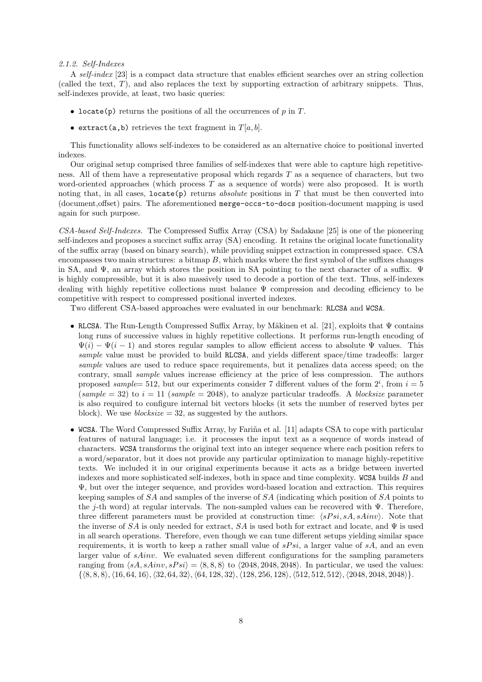# 2.1.2. Self-Indexes

A self-index [23] is a compact data structure that enables efficient searches over an string collection (called the text, T), and also replaces the text by supporting extraction of arbitrary snippets. Thus, self-indexes provide, at least, two basic queries:

- locate(p) returns the positions of all the occurrences of  $p$  in  $T$ .
- extract(a,b) retrieves the text fragment in  $T[a, b]$ .

This functionality allows self-indexes to be considered as an alternative choice to positional inverted indexes.

Our original setup comprised three families of self-indexes that were able to capture high repetitiveness. All of them have a representative proposal which regards T as a sequence of characters, but two word-oriented approaches (which process  $T$  as a sequence of words) were also proposed. It is worth noting that, in all cases, locate(p) returns *absolute* positions in T that must be then converted into (document,offset) pairs. The aforementioned merge-occs-to-docs position-document mapping is used again for such purpose.

CSA-based Self-Indexes. The Compressed Suffix Array (CSA) by Sadakane [25] is one of the pioneering self-indexes and proposes a succinct suffix array (SA) encoding. It retains the original locate functionality of the suffix array (based on binary search), while providing snippet extraction in compressed space. CSA encompasses two main structures: a bitmap  $B$ , which marks where the first symbol of the suffixes changes in SA, and  $\Psi$ , an array which stores the position in SA pointing to the next character of a suffix.  $\Psi$ is highly compressible, but it is also massively used to decode a portion of the text. Thus, self-indexes dealing with highly repetitive collections must balance Ψ compression and decoding efficiency to be competitive with respect to compressed positional inverted indexes.

Two different CSA-based approaches were evaluated in our benchmark: RLCSA and WCSA.

- RLCSA. The Run-Length Compressed Suffix Array, by Mäkinen et al. [21], exploits that  $\Psi$  contains long runs of successive values in highly repetitive collections. It performs run-length encoding of  $\Psi(i) - \Psi(i-1)$  and stores regular samples to allow efficient access to absolute  $\Psi$  values. This sample value must be provided to build RLCSA, and yields different space/time tradeoffs: larger sample values are used to reduce space requirements, but it penalizes data access speed; on the contrary, small *sample* values increase efficiency at the price of less compression. The authors proposed sample = 512, but our experiments consider 7 different values of the form  $2^i$ , from  $i = 5$ (sample = 32) to  $i = 11$  (sample = 2048), to analyze particular tradeoffs. A blocksize parameter is also required to configure internal bit vectors blocks (it sets the number of reserved bytes per block). We use *blocksize* = 32, as suggested by the authors.
- WCSA. The Word Compressed Suffix Array, by Fariña et al. [11] adapts CSA to cope with particular features of natural language; i.e. it processes the input text as a sequence of words instead of characters. WCSA transforms the original text into an integer sequence where each position refers to a word/separator, but it does not provide any particular optimization to manage highly-repetitive texts. We included it in our original experiments because it acts as a bridge between inverted indexes and more sophisticated self-indexes, both in space and time complexity. WCSA builds B and  $\Psi$ , but over the integer sequence, and provides word-based location and extraction. This requires keeping samples of SA and samples of the inverse of SA (indicating which position of SA points to the j-th word) at regular intervals. The non-sampled values can be recovered with Ψ. Therefore, three different parameters must be provided at construction time:  $\langle sPsi, sA, sAinv \rangle$ . Note that the inverse of SA is only needed for extract, SA is used both for extract and locate, and  $\Psi$  is used in all search operations. Therefore, even though we can tune different setups yielding similar space requirements, it is worth to keep a rather small value of  $sPsi$ , a larger value of sA, and an even larger value of sAinv. We evaluated seven different configurations for the sampling parameters ranging from  $\langle sA, sAinv, sPsi \rangle = \langle 8, 8, 8 \rangle$  to  $\langle 2048, 2048, 2048 \rangle$ . In particular, we used the values:  $\{\langle 8, 8, 8 \rangle, \langle 16, 64, 16 \rangle, \langle 32, 64, 32 \rangle, \langle 64, 128, 32 \rangle, \langle 128, 256, 128 \rangle, \langle 512, 512, 512 \rangle, \langle 2048, 2048, 2048 \rangle\}.$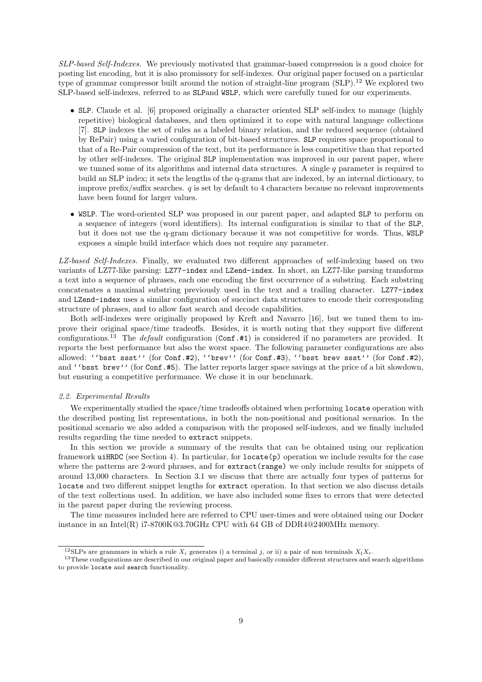SLP-based Self-Indexes. We previously motivated that grammar-based compression is a good choice for posting list encoding, but it is also promissory for self-indexes. Our original paper focused on a particular type of grammar compressor built around the notion of straight-line program (SLP).<sup>12</sup> We explored two SLP-based self-indexes, referred to as SLPand WSLP, which were carefully tuned for our experiments.

- SLP. Claude et al. [6] proposed originally a character oriented SLP self-index to manage (highly repetitive) biological databases, and then optimized it to cope with natural language collections [7]. SLP indexes the set of rules as a labeled binary relation, and the reduced sequence (obtained by RePair) using a varied configuration of bit-based structures. SLP requires space proportional to that of a Re-Pair compression of the text, but its performance is less competitive than that reported by other self-indexes. The original SLP implementation was improved in our parent paper, where we tunned some of its algorithms and internal data structures. A single  $q$  parameter is required to build an SLP index; it sets the lengths of the q-grams that are indexed, by an internal dictionary, to improve prefix/suffix searches. q is set by default to 4 characters because no relevant improvements have been found for larger values.
- WSLP. The word-oriented SLP was proposed in our parent paper, and adapted SLP to perform on a sequence of integers (word identifiers). Its internal configuration is similar to that of the SLP, but it does not use the q-gram dictionary because it was not competitive for words. Thus, WSLP exposes a simple build interface which does not require any parameter.

LZ-based Self-Indexes. Finally, we evaluated two different approaches of self-indexing based on two variants of LZ77-like parsing: LZ77-index and LZend-index. In short, an LZ77-like parsing transforms a text into a sequence of phrases, each one encoding the first occurrence of a substring. Each substring concatenates a maximal substring previously used in the text and a trailing character. LZ77-index and LZend-index uses a similar configuration of succinct data structures to encode their corresponding structure of phrases, and to allow fast search and decode capabilities.

Both self-indexes were originally proposed by Kreft and Navarro [16], but we tuned them to improve their original space/time tradeoffs. Besides, it is worth noting that they support five different configurations.<sup>13</sup> The *default* configuration ( $Conf.*1$ ) is considered if no parameters are provided. It reports the best performance but also the worst space. The following parameter configurations are also allowed: ''bsst ssst'' (for Conf.#2), ''brev'' (for Conf.#3), ''bsst brev ssst'' (for Conf.#2), and ''bsst brev'' (for Conf.#5). The latter reports larger space savings at the price of a bit slowdown, but ensuring a competitive performance. We chose it in our benchmark.

#### 2.2. Experimental Results

We experimentally studied the space/time tradeoffs obtained when performing locate operation with the described posting list representations, in both the non-positional and positional scenarios. In the positional scenario we also added a comparison with the proposed self-indexes, and we finally included results regarding the time needed to extract snippets.

In this section we provide a summary of the results that can be obtained using our replication framework uiHRDC (see Section 4). In particular, for locate(p) operation we include results for the case where the patterns are 2-word phrases, and for extract(range) we only include results for snippets of around 13,000 characters. In Section 3.1 we discuss that there are actually four types of patterns for locate and two different snippet lengths for extract operation. In that section we also discuss details of the text collections used. In addition, we have also included some fixes to errors that were detected in the parent paper during the reviewing process.

The time measures included here are referred to CPU user-times and were obtained using our Docker instance in an Intel(R) i7-8700K@3.70GHz CPU with 64 GB of DDR4@2400MHz memory.

<sup>&</sup>lt;sup>12</sup>SLPs are grammars in which a rule  $X_i$  generates i) a terminal j, or ii) a pair of non terminals  $X_lX_r$ .

<sup>&</sup>lt;sup>13</sup>These configurations are described in our original paper and basically consider different structures and search algorithms to provide locate and search functionality.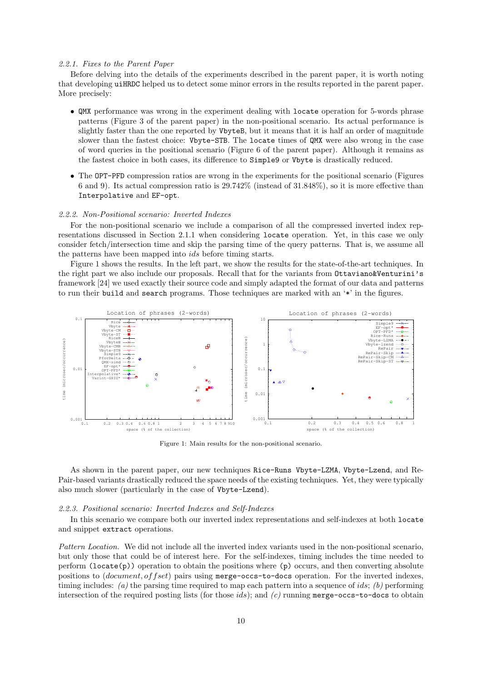# 2.2.1. Fixes to the Parent Paper

Before delving into the details of the experiments described in the parent paper, it is worth noting that developing uiHRDC helped us to detect some minor errors in the results reported in the parent paper. More precisely:

- QMX performance was wrong in the experiment dealing with locate operation for 5-words phrase patterns (Figure 3 of the parent paper) in the non-positional scenario. Its actual performance is slightly faster than the one reported by VbyteB, but it means that it is half an order of magnitude slower than the fastest choice: Vbyte-STB. The locate times of QMX were also wrong in the case of word queries in the positional scenario (Figure 6 of the parent paper). Although it remains as the fastest choice in both cases, its difference to Simple9 or Vbyte is drastically reduced.
- The OPT-PFD compression ratios are wrong in the experiments for the positional scenario (Figures 6 and 9). Its actual compression ratio is 29.742% (instead of 31.848%), so it is more effective than Interpolative and EF-opt.

## 2.2.2. Non-Positional scenario: Inverted Indexes

For the non-positional scenario we include a comparison of all the compressed inverted index representations discussed in Section 2.1.1 when considering locate operation. Yet, in this case we only consider fetch/intersection time and skip the parsing time of the query patterns. That is, we assume all the patterns have been mapped into ids before timing starts.

Figure 1 shows the results. In the left part, we show the results for the state-of-the-art techniques. In the right part we also include our proposals. Recall that for the variants from Ottaviano&Venturini's framework [24] we used exactly their source code and simply adapted the format of our data and patterns to run their build and search programs. Those techniques are marked with an '\*' in the figures.



Figure 1: Main results for the non-positional scenario.

As shown in the parent paper, our new techniques Rice-Runs Vbyte-LZMA, Vbyte-Lzend, and Re-Pair-based variants drastically reduced the space needs of the existing techniques. Yet, they were typically also much slower (particularly in the case of Vbyte-Lzend).

# 2.2.3. Positional scenario: Inverted Indexes and Self-Indexes

In this scenario we compare both our inverted index representations and self-indexes at both locate and snippet extract operations.

Pattern Location. We did not include all the inverted index variants used in the non-positional scenario, but only those that could be of interest here. For the self-indexes, timing includes the time needed to perform  $(locate(p))$  operation to obtain the positions where  $(p)$  occurs, and then converting absolute positions to (document, of fset) pairs using merge-occs-to-docs operation. For the inverted indexes, timing includes: (a) the parsing time required to map each pattern into a sequence of ids; (b) performing intersection of the required posting lists (for those ids); and  $(c)$  running merge-occs-to-docs to obtain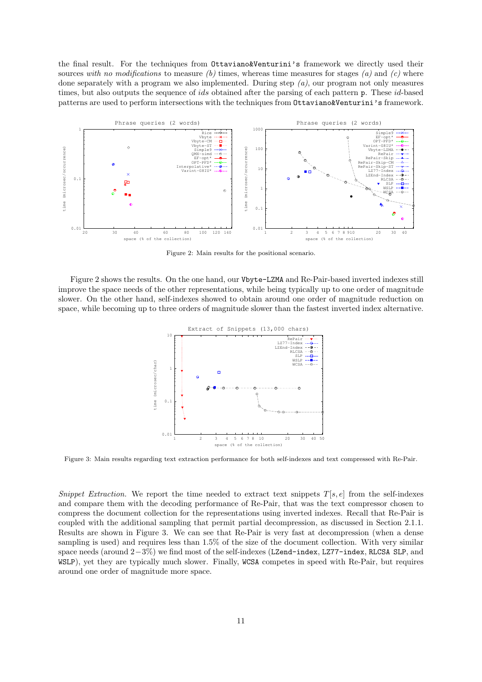the final result. For the techniques from Ottaviano&Venturini's framework we directly used their sources with no modifications to measure (b) times, whereas time measures for stages (a) and (c) where done separately with a program we also implemented. During step (a), our program not only measures times, but also outputs the sequence of *ids* obtained after the parsing of each pattern p. These *id*-based patterns are used to perform intersections with the techniques from Ottaviano&Venturini's framework.



Figure 2: Main results for the positional scenario.

Figure 2 shows the results. On the one hand, our Vbyte-LZMA and Re-Pair-based inverted indexes still improve the space needs of the other representations, while being typically up to one order of magnitude slower. On the other hand, self-indexes showed to obtain around one order of magnitude reduction on space, while becoming up to three orders of magnitude slower than the fastest inverted index alternative.



Figure 3: Main results regarding text extraction performance for both self-indexes and text compressed with Re-Pair.

Snippet Extraction. We report the time needed to extract text snippets  $T[s, e]$  from the self-indexes and compare them with the decoding performance of Re-Pair, that was the text compressor chosen to compress the document collection for the representations using inverted indexes. Recall that Re-Pair is coupled with the additional sampling that permit partial decompression, as discussed in Section 2.1.1. Results are shown in Figure 3. We can see that Re-Pair is very fast at decompression (when a dense sampling is used) and requires less than 1.5% of the size of the document collection. With very similar space needs (around 2–3%) we find most of the self-indexes (LZend-index, LZ77-index, RLCSA SLP, and WSLP), yet they are typically much slower. Finally, WCSA competes in speed with Re-Pair, but requires around one order of magnitude more space.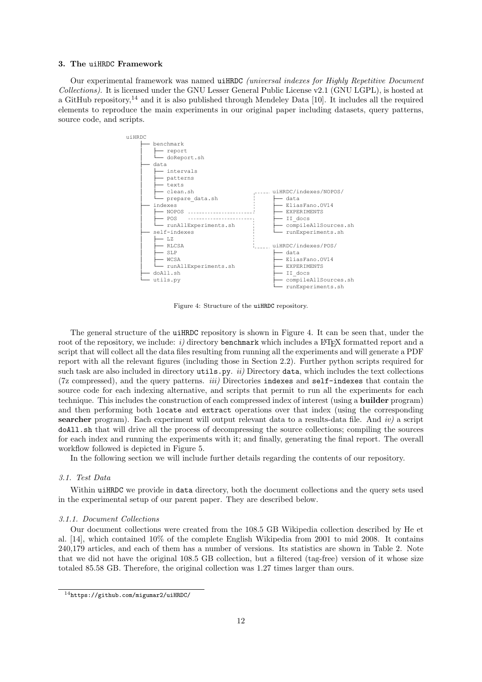# 3. The uiHRDC Framework

Our experimental framework was named uiHRDC (universal indexes for Highly Repetitive Document Collections). It is licensed under the GNU Lesser General Public License v2.1 (GNU LGPL), is hosted at a GitHub repository,<sup>14</sup> and it is also published through Mendeley Data [10]. It includes all the required elements to reproduce the main experiments in our original paper including datasets, query patterns, source code, and scripts.



Figure 4: Structure of the uiHRDC repository.

The general structure of the uiHRDC repository is shown in Figure 4. It can be seen that, under the root of the repository, we include: i) directory benchmark which includes a  $\mathbb{P}\text{Tr}X$  formatted report and a script that will collect all the data files resulting from running all the experiments and will generate a PDF report with all the relevant figures (including those in Section 2.2). Further python scripts required for such task are also included in directory  $utils.py.$   $ii)$  Directory data, which includes the text collections (7z compressed), and the query patterns. iii) Directories indexes and self-indexes that contain the source code for each indexing alternative, and scripts that permit to run all the experiments for each technique. This includes the construction of each compressed index of interest (using a builder program) and then performing both locate and extract operations over that index (using the corresponding searcher program). Each experiment will output relevant data to a results-data file. And iv) a script doAll.sh that will drive all the process of decompressing the source collections; compiling the sources for each index and running the experiments with it; and finally, generating the final report. The overall workflow followed is depicted in Figure 5.

In the following section we will include further details regarding the contents of our repository.

# 3.1. Test Data

Within uiHRDC we provide in data directory, both the document collections and the query sets used in the experimental setup of our parent paper. They are described below.

#### 3.1.1. Document Collections

Our document collections were created from the 108.5 GB Wikipedia collection described by He et al. [14], which contained 10% of the complete English Wikipedia from 2001 to mid 2008. It contains 240,179 articles, and each of them has a number of versions. Its statistics are shown in Table 2. Note that we did not have the original 108.5 GB collection, but a filtered (tag-free) version of it whose size totaled 85.58 GB. Therefore, the original collection was 1.27 times larger than ours.

<sup>14</sup>https://github.com/migumar2/uiHRDC/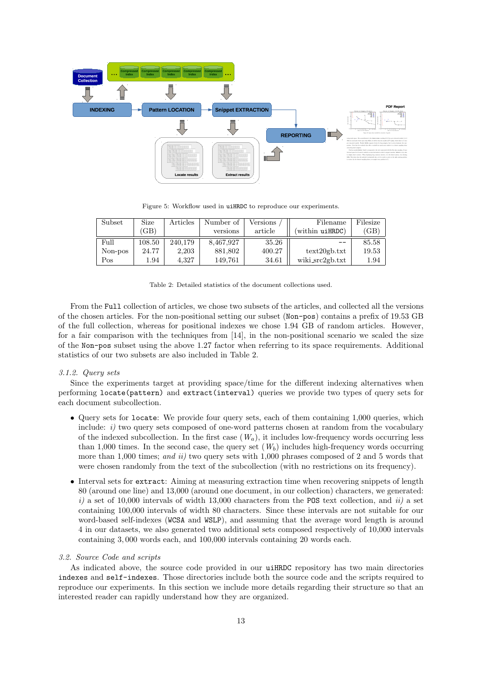

Figure 5: Workflow used in uiHRDC to reproduce our experiments.

| Subset  | Size   | Articles | Number of | Versions | Filename                     | Filesize |
|---------|--------|----------|-----------|----------|------------------------------|----------|
|         | (GB)   |          | versions  | article  | $(\text{within u}$ iHRDC $)$ | 'GB)     |
| Full    | 108.50 | 240.179  | 8,467,927 | 35.26    | $-$                          | 85.58    |
| Non-pos | 24.77  | 2.203    | 881,802   | 400.27   | text20gb.txt                 | 19.53    |
| Pos     | 1.94   | 4.327    | 149,761   | 34.61    | wiki_src2gb.txt              | 1.94     |

Table 2: Detailed statistics of the document collections used.

From the Full collection of articles, we chose two subsets of the articles, and collected all the versions of the chosen articles. For the non-positional setting our subset (Non-pos) contains a prefix of 19.53 GB of the full collection, whereas for positional indexes we chose 1.94 GB of random articles. However, for a fair comparison with the techniques from [14], in the non-positional scenario we scaled the size of the Non-pos subset using the above 1.27 factor when referring to its space requirements. Additional statistics of our two subsets are also included in Table 2.

#### 3.1.2. Query sets

Since the experiments target at providing space/time for the different indexing alternatives when performing locate(pattern) and extract(interval) queries we provide two types of query sets for each document subcollection.

- Query sets for locate: We provide four query sets, each of them containing 1,000 queries, which include:  $i)$  two query sets composed of one-word patterns chosen at random from the vocabulary of the indexed subcollection. In the first case  $(W_a)$ , it includes low-frequency words occurring less than 1,000 times. In the second case, the query set  $(W_b)$  includes high-frequency words occurring more than 1,000 times; and ii) two query sets with 1,000 phrases composed of 2 and 5 words that were chosen randomly from the text of the subcollection (with no restrictions on its frequency).
- Interval sets for extract: Aiming at measuring extraction time when recovering snippets of length 80 (around one line) and 13,000 (around one document, in our collection) characters, we generated:  $i)$  a set of 10,000 intervals of width 13,000 characters from the POS text collection, and  $ii)$  a set containing 100,000 intervals of width 80 characters. Since these intervals are not suitable for our word-based self-indexes (WCSA and WSLP), and assuming that the average word length is around 4 in our datasets, we also generated two additional sets composed respectively of 10,000 intervals containing 3, 000 words each, and 100,000 intervals containing 20 words each.

#### 3.2. Source Code and scripts

As indicated above, the source code provided in our uiHRDC repository has two main directories indexes and self-indexes. Those directories include both the source code and the scripts required to reproduce our experiments. In this section we include more details regarding their structure so that an interested reader can rapidly understand how they are organized.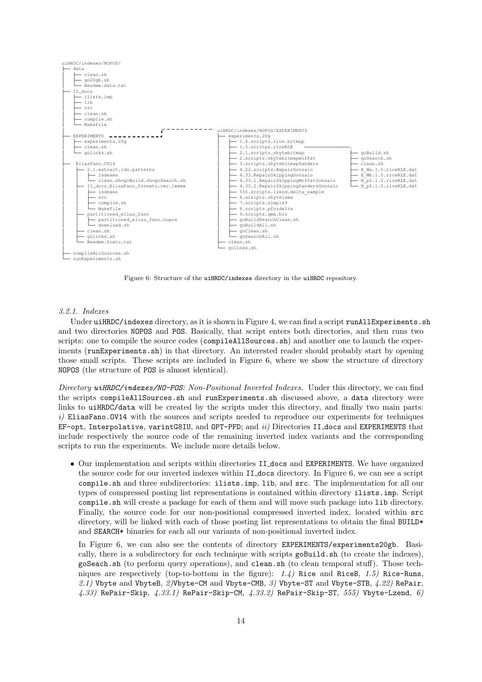

Figure 6: Structure of the uiHRDC/indexes directory in the uiHRDC repository.

# 3.2.1. Indexes

Under uiHRDC/indexes directory, as it is shown in Figure 4, we can find a script runAllExperiments.sh and two directories NOPOS and POS. Basically, that script enters both directories, and then runs two scripts: one to compile the source codes (compileAllSources.sh) and another one to launch the experiments (runExperiments.sh) in that directory. An interested reader should probably start by opening those small scripts. These scripts are included in Figure 6, where we show the structure of directory NOPOS (the structure of POS is almost identical).

Directory uiHRDC/indexes/NO-POS: Non-Positional Inverted Indexes. Under this directory, we can find the scripts compileAllSources.sh and runExperiments.sh discussed above, a data directory were links to uiHRDC/data will be created by the scripts under this directory, and finally two main parts: i) EliasFano.OV14 with the sources and scripts needed to reproduce our experiments for techniques EF-opt, Interpolative, varintG8IU, and OPT-PFD; and  $ii$ ) Directories II docs and EXPERIMENTS that include respectively the source code of the remaining inverted index variants and the corresponding scripts to run the experiments. We include more details below.

• Our implementation and scripts within directories II docs and EXPERIMENTS. We have organized the source code for our inverted indexes within II docs directory. In Figure 6, we can see a script compile.sh and three subdirectories: ilists.imp, lib, and src. The implementation for all our types of compressed posting list representations is contained within directory ilists.imp. Script compile.sh will create a package for each of them and will move such package into lib directory. Finally, the source code for our non-positional compressed inverted index, located within src directory, will be linked with each of those posting list representations to obtain the final BUILD\* and SEARCH\* binaries for each all our variants of non-positional inverted index.

In Figure 6, we can also see the contents of directory EXPERIMENTS/experiments20gb. Basically, there is a subdirectory for each technique with scripts goBuild.sh (to create the indexes), goSeach.sh (to perform query operations), and clean.sh (to clean temporal stuff). Those techniques are respectively (top-to-bottom in the figure):  $1.4$ ) Rice and RiceB,  $1.5$ ) Rice-Runs, 2.1) Vbyte and VbyteB,  $2$ )Vbyte-CM and Vbyte-CMB, 3) Vbyte-ST and Vbyte-STB,  $4.22$ ) RePair, 4.33) RePair-Skip,  $4.33.1$ ) RePair-Skip-CM,  $4.33.2$ ) RePair-Skip-ST,  $555$ ) Vbyte-Lzend,  $6$ )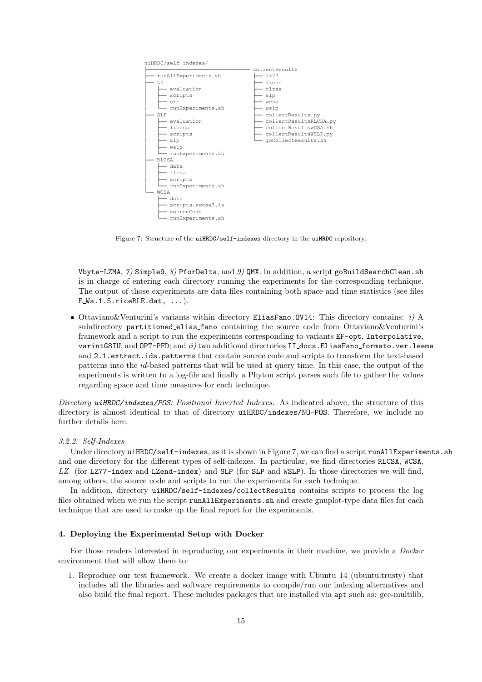

Figure 7: Structure of the uiHRDC/self-indexes directory in the uiHRDC repository.

Vbyte-LZMA,  $\gamma$ ) Simple9,  $\delta$ ) PforDelta, and  $\theta$ ) QMX. In addition, a script goBuildSearchClean.sh is in charge of entering each directory running the experiments for the corresponding technique. The output of those experiments are data files containing both space and time statistics (see files  $E-Wa.1.5.riceRLE.dat, ...$ ).

• Ottaviano&Venturini's variants within directory EliasFano.OV14: This directory contains: i) A subdirectory partitioned elias fano containing the source code from Ottaviano&Venturini's framework and a script to run the experiments corresponding to variants EF-opt, Interpolative, varintG8IU, and OPT-PFD; and  $ii)$  two additional directories II\_docs.EliasFano\_formato.ver.leeme and 2.1.extract.ids.patterns that contain source code and scripts to transform the text-based patterns into the id-based patterns that will be used at query time. In this case, the output of the experiments is written to a log-file and finally a Phyton script parses such file to gather the values regarding space and time measures for each technique.

Directory uiHRDC/indexes/POS: Positional Inverted Indexes. As indicated above, the structure of this directory is almost identical to that of directory uiHRDC/indexes/NO-POS. Therefore, we include no further details here.

# 3.2.2. Self-Indexes

Under directory uiHRDC/self-indexes, as it is shown in Figure 7, we can find a script runAllExperiments.sh and one directory for the different types of self-indexes. In particular, we find directories RLCSA, WCSA, LZ (for LZ77-index and LZend-index) and SLP (for SLP and WSLP). In those directories we will find, among others, the source code and scripts to run the experiments for each technique.

In addition, directory uiHRDC/self-indexes/collectResults contains scripts to process the log files obtained when we run the script runAllExperiments.sh and create gnuplot-type data files for each technique that are used to make up the final report for the experiments.

# 4. Deploying the Experimental Setup with Docker

For those readers interested in reproducing our experiments in their machine, we provide a Docker environment that will allow them to:

1. Reproduce our test framework. We create a docker image with Ubuntu 14 (ubuntu:trusty) that includes all the libraries and software requirements to compile/run our indexing alternatives and also build the final report. These includes packages that are installed via apt such as: gcc-multilib,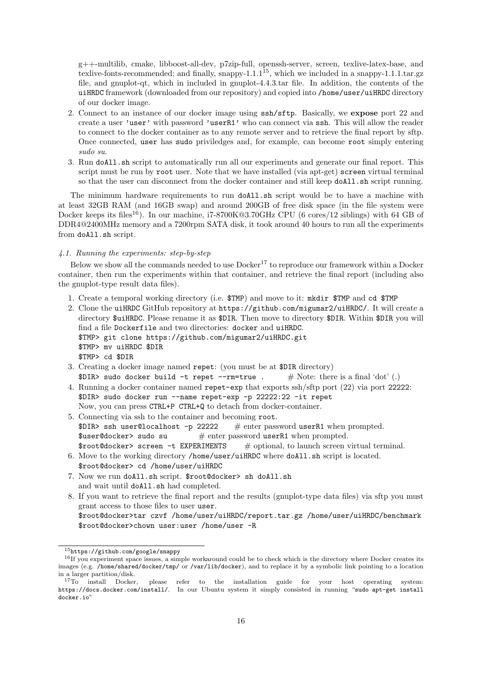g++-multilib, cmake, libboost-all-dev, p7zip-full, openssh-server, screen, texlive-latex-base, and texlive-fonts-recommended; and finally, snappy-1.1.1<sup>15</sup>, which we included in a snappy-1.1.1.tar.gz file, and gnuplot-qt, which in included in gnuplot-4.4.3.tar file. In addition, the contents of the uiHRDC framework (downloaded from our repository) and copied into /home/user/uiHRDC directory of our docker image.

- 2. Connect to an instance of our docker image using ssh/sftp. Basically, we expose port 22 and create a user 'user' with password 'userR1' who can connect via ssh. This will allow the reader to connect to the docker container as to any remote server and to retrieve the final report by sftp. Once connected, user has sudo priviledges and, for example, can become root simply entering sudo su.
- 3. Run doAll.sh script to automatically run all our experiments and generate our final report. This script must be run by root user. Note that we have installed (via apt-get) screen virtual terminal so that the user can disconnect from the docker container and still keep  $dOAll.sh$  script running.

The minimum hardware requirements to run doAll. Sh script would be to have a machine with at least 32GB RAM (and 16GB swap) and around 200GB of free disk space (in the file system were Docker keeps its files<sup>16</sup>). In our machine, i7-8700K@3.70GHz CPU (6 cores/12 siblings) with 64 GB of DDR4@2400MHz memory and a 7200rpm SATA disk, it took around 40 hours to run all the experiments from doAll.sh script.

# 4.1. Running the experiments: step-by-step

Below we show all the commands needed to use Docker<sup>17</sup> to reproduce our framework within a Docker container, then run the experiments within that container, and retrieve the final report (including also the gnuplot-type result data files).

- 1. Create a temporal working directory (i.e. \$TMP) and move to it: mkdir \$TMP and cd \$TMP
- 2. Clone the uiHRDC GitHub repository at https://github.com/migumar2/uiHRDC/. It will create a directory \$uiHRDC. Please rename it as \$DIR. Then move to directory \$DIR. Within \$DIR you will find a file Dockerfile and two directories: docker and uiHRDC. \$TMP> git clone https://github.com/migumar2/uiHRDC.git \$TMP> mv uiHRDC \$DIR \$TMP> cd \$DIR
- 3. Creating a docker image named repet: (you must be at \$DIR directory) \$DIR> sudo docker build -t repet --rm=true . # Note: there is a final 'dot' (.)
- 4. Running a docker container named repet-exp that exports ssh/sftp port (22) via port 22222: \$DIR> sudo docker run --name repet-exp -p 22222:22 -it repet Now, you can press CTRL+P CTRL+Q to detach from docker-container.
- 5. Connecting via ssh to the container and becoming root.  $$DIR>$  ssh user@localhost -p 22222  $#$  enter password userR1 when prompted.  $\texttt{guser@docker> sudo su}$  # enter password userR1 when prompted.  $$root@locker$  screen -t EXPERIMENTS  $\#$  optional, to launch screen virtual terminal.
- 6. Move to the working directory /home/user/uiHRDC where doAll.sh script is located. \$root@docker> cd /home/user/uiHRDC
- 7. Now we run doAll.sh script. \$root@docker> sh doAll.sh and wait until doAll.sh had completed.
- 8. If you want to retrieve the final report and the results (gnuplot-type data files) via sftp you must grant access to those files to user user. \$root@docker>tar czvf /home/user/uiHRDC/report.tar.gz /home/user/uiHRDC/benchmark \$root@docker>chown user:user /home/user -R

<sup>15</sup>https://github.com/google/snappy

 $16$ If you experiment space issues, a simple workaround could be to check which is the directory where Docker creates its images (e.g. /home/shared/docker/tmp/ or /var/lib/docker), and to replace it by a symbolic link pointing to a location in a larger partition/disk.

<sup>&</sup>lt;sup>17</sup>To install Docker, please refer to the installation guide for your host operating system: https://docs.docker.com/install/. In our Ubuntu system it simply consisted in running "sudo apt-get install docker.io"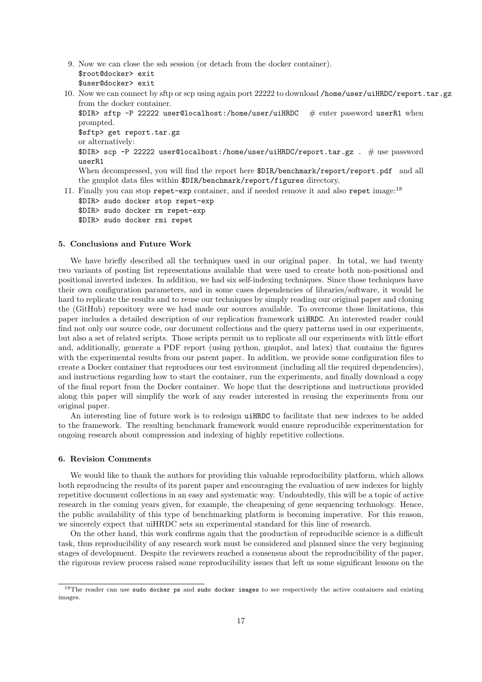- 9. Now we can close the ssh session (or detach from the docker container). \$root@docker> exit \$user@docker> exit
- 10. Now we can connect by sftp or scp using again port 22222 to download /home/user/uiHRDC/report.tar.gz from the docker container.  $DIR>$  sftp -P 22222 user@localhost:/home/user/uiHRDC  $#$  enter password userR1 when prompted. \$sftp> get report.tar.gz or alternatively: \$DIR> scp -P 22222 user@localhost:/home/user/uiHRDC/report.tar.gz . # use password userR1 When decompressed, you will find the report here \$DIR/benchmark/report/report.pdf and all the gnuplot data files within \$DIR/benchmark/report/figures directory.
- 11. Finally you can stop repet-exp container, and if needed remove it and also repet image:<sup>18</sup>

\$DIR> sudo docker stop repet-exp \$DIR> sudo docker rm repet-exp \$DIR> sudo docker rmi repet

# 5. Conclusions and Future Work

We have briefly described all the techniques used in our original paper. In total, we had twenty two variants of posting list representations available that were used to create both non-positional and positional inverted indexes. In addition, we had six self-indexing techniques. Since those techniques have their own configuration parameters, and in some cases dependencies of libraries/software, it would be hard to replicate the results and to reuse our techniques by simply reading our original paper and cloning the (GitHub) repository were we had made our sources available. To overcome those limitations, this paper includes a detailed description of our replication framework uiHRDC. An interested reader could find not only our source code, our document collections and the query patterns used in our experiments, but also a set of related scripts. Those scripts permit us to replicate all our experiments with little effort and, additionally, generate a PDF report (using python, gnuplot, and latex) that contains the figures with the experimental results from our parent paper. In addition, we provide some configuration files to create a Docker container that reproduces our test environment (including all the required dependencies), and instructions regarding how to start the container, run the experiments, and finally download a copy of the final report from the Docker container. We hope that the descriptions and instructions provided along this paper will simplify the work of any reader interested in reusing the experiments from our original paper.

An interesting line of future work is to redesign uiHRDC to facilitate that new indexes to be added to the framework. The resulting benchmark framework would ensure reproducible experimentation for ongoing research about compression and indexing of highly repetitive collections.

# 6. Revision Comments

We would like to thank the authors for providing this valuable reproducibility platform, which allows both reproducing the results of its parent paper and encouraging the evaluation of new indexes for highly repetitive document collections in an easy and systematic way. Undoubtedly, this will be a topic of active research in the coming years given, for example, the cheapening of gene sequencing technology. Hence, the public availability of this type of benchmarking platform is becoming imperative. For this reason, we sincerely expect that uiHRDC sets an experimental standard for this line of research.

On the other hand, this work confirms again that the production of reproducible science is a difficult task, thus reproducibility of any research work must be considered and planned since the very beginning stages of development. Despite the reviewers reached a consensus about the reproducibility of the paper, the rigorous review process raised some reproducibility issues that left us some significant lessons on the

 $18$ The reader can use sudo docker ps and sudo docker images to see respectively the active containers and existing images.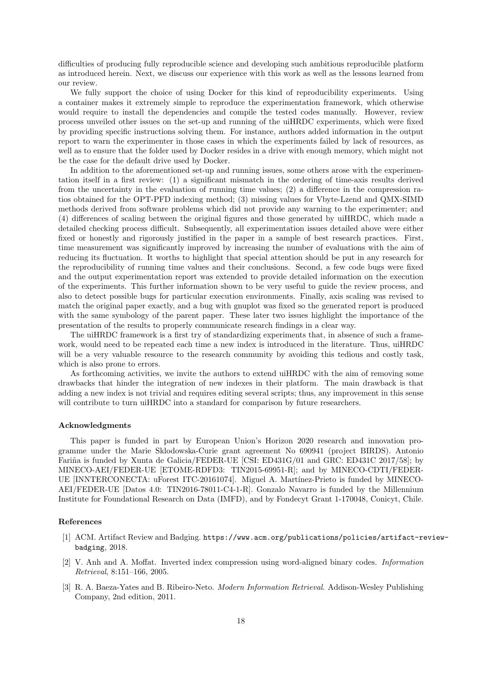difficulties of producing fully reproducible science and developing such ambitious reproducible platform as introduced herein. Next, we discuss our experience with this work as well as the lessons learned from our review.

We fully support the choice of using Docker for this kind of reproducibility experiments. Using a container makes it extremely simple to reproduce the experimentation framework, which otherwise would require to install the dependencies and compile the tested codes manually. However, review process unveiled other issues on the set-up and running of the uiHRDC experiments, which were fixed by providing specific instructions solving them. For instance, authors added information in the output report to warn the experimenter in those cases in which the experiments failed by lack of resources, as well as to ensure that the folder used by Docker resides in a drive with enough memory, which might not be the case for the default drive used by Docker.

In addition to the aforementioned set-up and running issues, some others arose with the experimentation itself in a first review: (1) a significant mismatch in the ordering of time-axis results derived from the uncertainty in the evaluation of running time values; (2) a difference in the compression ratios obtained for the OPT-PFD indexing method; (3) missing values for Vbyte-Lzend and QMX-SIMD methods derived from software problems which did not provide any warning to the experimenter; and (4) differences of scaling between the original figures and those generated by uiHRDC, which made a detailed checking process difficult. Subsequently, all experimentation issues detailed above were either fixed or honestly and rigorously justified in the paper in a sample of best research practices. First, time measurement was significantly improved by increasing the number of evaluations with the aim of reducing its fluctuation. It worths to highlight that special attention should be put in any research for the reproducibility of running time values and their conclusions. Second, a few code bugs were fixed and the output experimentation report was extended to provide detailed information on the execution of the experiments. This further information shown to be very useful to guide the review process, and also to detect possible bugs for particular execution environments. Finally, axis scaling was revised to match the original paper exactly, and a bug with gnuplot was fixed so the generated report is produced with the same symbology of the parent paper. These later two issues highlight the importance of the presentation of the results to properly communicate research findings in a clear way.

The uiHRDC framework is a first try of standardizing experiments that, in absence of such a framework, would need to be repeated each time a new index is introduced in the literature. Thus, uiHRDC will be a very valuable resource to the research community by avoiding this tedious and costly task, which is also prone to errors.

As forthcoming activities, we invite the authors to extend uiHRDC with the aim of removing some drawbacks that hinder the integration of new indexes in their platform. The main drawback is that adding a new index is not trivial and requires editing several scripts; thus, any improvement in this sense will contribute to turn uiHRDC into a standard for comparison by future researchers.

# Acknowledgments

This paper is funded in part by European Union's Horizon 2020 research and innovation programme under the Marie Sklodowska-Curie grant agreement No 690941 (project BIRDS). Antonio Fariña is funded by Xunta de Galicia/FEDER-UE [CSI: ED431G/01 and GRC: ED431C 2017/58]; by MINECO-AEI/FEDER-UE [ETOME-RDFD3: TIN2015-69951-R]; and by MINECO-CDTI/FEDER-UE [INNTERCONECTA: uForest ITC-20161074]. Miguel A. Martínez-Prieto is funded by MINECO-AEI/FEDER-UE [Datos 4.0: TIN2016-78011-C4-1-R]. Gonzalo Navarro is funded by the Millennium Institute for Foundational Research on Data (IMFD), and by Fondecyt Grant 1-170048, Conicyt, Chile.

#### References

- [1] ACM. Artifact Review and Badging. https://www.acm.org/publications/policies/artifact-reviewbadging, 2018.
- [2] V. Anh and A. Moffat. Inverted index compression using word-aligned binary codes. Information Retrieval, 8:151–166, 2005.
- [3] R. A. Baeza-Yates and B. Ribeiro-Neto. Modern Information Retrieval. Addison-Wesley Publishing Company, 2nd edition, 2011.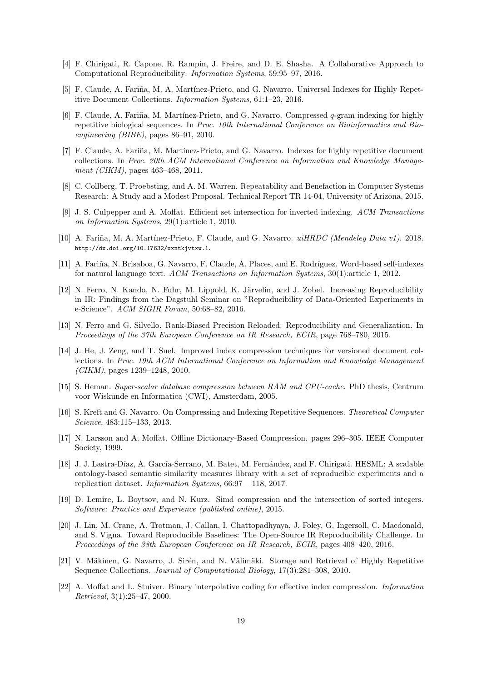- [4] F. Chirigati, R. Capone, R. Rampin, J. Freire, and D. E. Shasha. A Collaborative Approach to Computational Reproducibility. Information Systems, 59:95–97, 2016.
- [5] F. Claude, A. Fariña, M. A. Martínez-Prieto, and G. Navarro. Universal Indexes for Highly Repetitive Document Collections. Information Systems, 61:1–23, 2016.
- [6] F. Claude, A. Fariña, M. Martínez-Prieto, and G. Navarro. Compressed q-gram indexing for highly repetitive biological sequences. In Proc. 10th International Conference on Bioinformatics and Bioengineering (BIBE), pages 86–91, 2010.
- [7] F. Claude, A. Fariña, M. Martínez-Prieto, and G. Navarro. Indexes for highly repetitive document collections. In Proc. 20th ACM International Conference on Information and Knowledge Management (CIKM), pages 463–468, 2011.
- [8] C. Collberg, T. Proebsting, and A. M. Warren. Repeatability and Benefaction in Computer Systems Research: A Study and a Modest Proposal. Technical Report TR 14-04, University of Arizona, 2015.
- [9] J. S. Culpepper and A. Moffat. Efficient set intersection for inverted indexing. ACM Transactions on Information Systems, 29(1):article 1, 2010.
- [10] A. Fariña, M. A. Martínez-Prieto, F. Claude, and G. Navarro. *uiHRDC (Mendeley Data v1).* 2018. http://dx.doi.org/10.17632/xxntkjvtxw.1.
- [11] A. Fariña, N. Brisaboa, G. Navarro, F. Claude, A. Places, and E. Rodríguez. Word-based self-indexes for natural language text. ACM Transactions on Information Systems, 30(1):article 1, 2012.
- [12] N. Ferro, N. Kando, N. Fuhr, M. Lippold, K. Järvelin, and J. Zobel. Increasing Reproducibility in IR: Findings from the Dagstuhl Seminar on "Reproducibility of Data-Oriented Experiments in e-Science". ACM SIGIR Forum, 50:68–82, 2016.
- [13] N. Ferro and G. Silvello. Rank-Biased Precision Reloaded: Reproducibility and Generalization. In Proceedings of the 37th European Conference on IR Research, ECIR, page 768–780, 2015.
- [14] J. He, J. Zeng, and T. Suel. Improved index compression techniques for versioned document collections. In Proc. 19th ACM International Conference on Information and Knowledge Management (CIKM), pages 1239–1248, 2010.
- [15] S. Heman. Super-scalar database compression between RAM and CPU-cache. PhD thesis, Centrum voor Wiskunde en Informatica (CWI), Amsterdam, 2005.
- [16] S. Kreft and G. Navarro. On Compressing and Indexing Repetitive Sequences. Theoretical Computer Science, 483:115–133, 2013.
- [17] N. Larsson and A. Moffat. Offline Dictionary-Based Compression. pages 296–305. IEEE Computer Society, 1999.
- [18] J. J. Lastra-Díaz, A. García-Serrano, M. Batet, M. Fernández, and F. Chirigati. HESML: A scalable ontology-based semantic similarity measures library with a set of reproducible experiments and a replication dataset. Information Systems, 66:97 – 118, 2017.
- [19] D. Lemire, L. Boytsov, and N. Kurz. Simd compression and the intersection of sorted integers. Software: Practice and Experience (published online), 2015.
- [20] J. Lin, M. Crane, A. Trotman, J. Callan, I. Chattopadhyaya, J. Foley, G. Ingersoll, C. Macdonald, and S. Vigna. Toward Reproducible Baselines: The Open-Source IR Reproducibility Challenge. In Proceedings of the 38th European Conference on IR Research, ECIR, pages 408–420, 2016.
- [21] V. Mäkinen, G. Navarro, J. Sirén, and N. Välimäki. Storage and Retrieval of Highly Repetitive Sequence Collections. Journal of Computational Biology, 17(3):281–308, 2010.
- [22] A. Moffat and L. Stuiver. Binary interpolative coding for effective index compression. Information Retrieval, 3(1):25–47, 2000.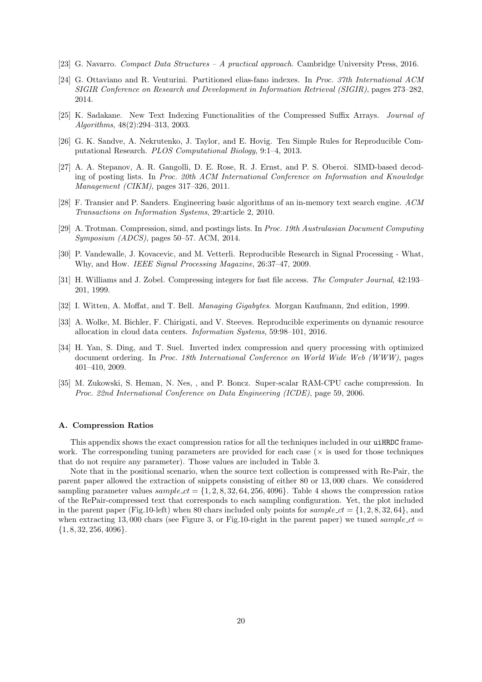- [23] G. Navarro. Compact Data Structures A practical approach. Cambridge University Press, 2016.
- [24] G. Ottaviano and R. Venturini. Partitioned elias-fano indexes. In Proc. 37th International ACM SIGIR Conference on Research and Development in Information Retrieval (SIGIR), pages 273–282, 2014.
- [25] K. Sadakane. New Text Indexing Functionalities of the Compressed Suffix Arrays. Journal of Algorithms, 48(2):294–313, 2003.
- [26] G. K. Sandve, A. Nekrutenko, J. Taylor, and E. Hovig. Ten Simple Rules for Reproducible Computational Research. PLOS Computational Biology, 9:1–4, 2013.
- [27] A. A. Stepanov, A. R. Gangolli, D. E. Rose, R. J. Ernst, and P. S. Oberoi. SIMD-based decoding of posting lists. In Proc. 20th ACM International Conference on Information and Knowledge Management (CIKM), pages 317–326, 2011.
- [28] F. Transier and P. Sanders. Engineering basic algorithms of an in-memory text search engine. ACM Transactions on Information Systems, 29:article 2, 2010.
- [29] A. Trotman. Compression, simd, and postings lists. In Proc. 19th Australasian Document Computing Symposium (ADCS), pages 50–57. ACM, 2014.
- [30] P. Vandewalle, J. Kovacevic, and M. Vetterli. Reproducible Research in Signal Processing What, Why, and How. IEEE Signal Processing Magazine, 26:37–47, 2009.
- [31] H. Williams and J. Zobel. Compressing integers for fast file access. The Computer Journal, 42:193– 201, 1999.
- [32] I. Witten, A. Moffat, and T. Bell. Managing Gigabytes. Morgan Kaufmann, 2nd edition, 1999.
- [33] A. Wolke, M. Bichler, F. Chirigati, and V. Steeves. Reproducible experiments on dynamic resource allocation in cloud data centers. Information Systems, 59:98–101, 2016.
- [34] H. Yan, S. Ding, and T. Suel. Inverted index compression and query processing with optimized document ordering. In Proc. 18th International Conference on World Wide Web (WWW), pages 401–410, 2009.
- [35] M. Zukowski, S. Heman, N. Nes, , and P. Boncz. Super-scalar RAM-CPU cache compression. In Proc. 22nd International Conference on Data Engineering (ICDE), page 59, 2006.

# A. Compression Ratios

This appendix shows the exact compression ratios for all the techniques included in our uiHRDC framework. The corresponding tuning parameters are provided for each case  $(x)$  is used for those techniques that do not require any parameter). Those values are included in Table 3.

Note that in the positional scenario, when the source text collection is compressed with Re-Pair, the parent paper allowed the extraction of snippets consisting of either 80 or 13, 000 chars. We considered sampling parameter values  $sample{\textit{ct}} = \{1, 2, 8, 32, 64, 256, 4096\}$ . Table 4 shows the compression ratios of the RePair-compressed text that corresponds to each sampling configuration. Yet, the plot included in the parent paper (Fig.10-left) when 80 chars included only points for  $sample_c \neq \{1, 2, 8, 32, 64\}$ , and when extracting 13,000 chars (see Figure 3, or Fig.10-right in the parent paper) we tuned sample  $ct =$  ${1, 8, 32, 256, 4096}.$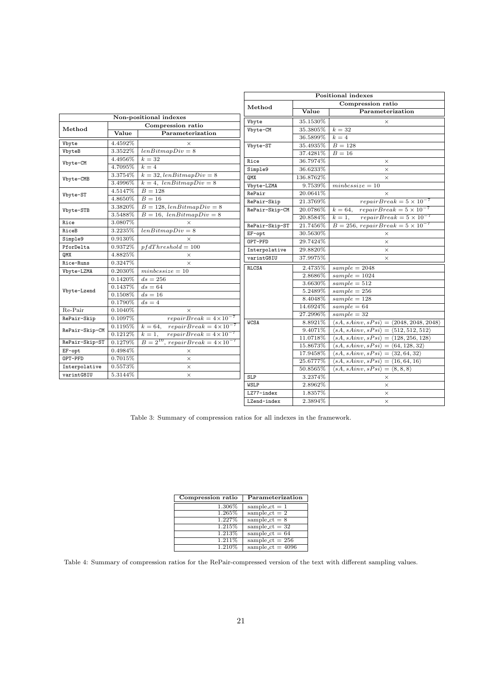|                        |          |                                                 |                | <b>Positional</b> indexes |                                                                      |  |
|------------------------|----------|-------------------------------------------------|----------------|---------------------------|----------------------------------------------------------------------|--|
|                        |          |                                                 | Method         | Compression ratio         |                                                                      |  |
|                        |          |                                                 |                | Value                     | Parameterization                                                     |  |
| Non-positional indexes |          | Vbyte                                           | 35.1530%       | $\times$                  |                                                                      |  |
| Method                 | Value    | Compression ratio<br>Parameterization           | Vbyte-CM       | 35.3805%                  | $k=32$                                                               |  |
|                        |          |                                                 |                | 36.5899%                  | $k=4$                                                                |  |
| Vbyte                  | 4.4592%  | $\times$                                        | Vbyte-ST       | 35.4935%                  | $B = 128$                                                            |  |
| VbyteB                 | 3.3522%  | $lenBitmapDiv = 8$                              |                | 37.4281%                  | $B=16$                                                               |  |
| Vbyte-CM               | 4.4956%  | $k=32$                                          | Rice           | 36.7974%                  | $\times$                                                             |  |
|                        | 4.7095%  | $k=4$                                           | Simple9        | 36.6233%                  | $\times$                                                             |  |
| Vbyte-CMB              | 3.3754%  | $k = 32, lenBitmapDiv = 8$                      | OMX            | 136.8762%                 | $\times$                                                             |  |
|                        | 3.4996%  | $k = 4$ , $lenBitmapDiv = 8$                    | Vbyte-LZMA     | 9.7539%                   | $minbessize = 10$                                                    |  |
| Vbyte-ST               | 4.5147%  | $B = 128$                                       | RePair         | 20.0641%                  | $\times$                                                             |  |
|                        | 4.8650%  | $B=16$                                          | RePair-Skip    | 21.3769%                  | $repairBreak = 5 \times 10^{-7}$                                     |  |
| Vbyte-STB              | 3.3820%  | $B = 128$ , len $BitmapDiv = 8$                 | RePair-Skip-CM | 20.0786%                  | $k = 64$ , $repairBreak = 5 \times 10^{-7}$                          |  |
|                        | 3.5488%  | $B=16$ , $lenBitmapDiv=8$                       |                | 20.8584%                  | $repairBreak = 5 \times 10^{-7}$<br>$k=1$ ,                          |  |
| Rice                   | 3.0807%  | $\times$                                        | RePair-Skip-ST | 21.7456%                  | $B = 256$ , repair $Break = 5 \times 10^{-7}$                        |  |
| RiceB                  | 3.2235%  | $lenBitmapDiv = 8$                              | EF-opt         | 30.5630%                  | $\times$                                                             |  |
| Simple9                | 0.9130%  | $\times$                                        | OPT-PFD        | 29.7424\%                 | $\times$                                                             |  |
| PforDelta              | 0.9372%  | $pfdThreshold = 100$                            | Interpolative  | 29.8820%                  | $\times$                                                             |  |
| OMX                    | 4.8825%  | $\times$                                        | varintG8IU     | 37.9975%                  | $\times$                                                             |  |
| Rice-Runs              | 0.3247%  | $\times$                                        | <b>RLCSA</b>   | 2.4735%                   | $sample = 2048$                                                      |  |
| Vbyte-LZMA             | 0.2030%  | $minbessize = 10$                               |                | 2.8686%                   | $sample = 1024$                                                      |  |
|                        | 0.1420\% | $ds = 256$                                      |                | 3.6630%                   | $sample = 512$                                                       |  |
| Vbyte-Lzend            | 0.1437%  | $ds = 64$                                       |                | 5.2489%                   | $sample = 256$                                                       |  |
|                        | 0.1508%  | $ds=\overline{16}$                              |                | 8.4048%                   | $sample = 128$                                                       |  |
|                        | 0.1790%  | $ds=4$                                          |                | 14.6924%                  | $sample = 64$                                                        |  |
| Re-Pair                | 0.1040\% | $\times$                                        |                | 27.2996%                  | $sample = 32$                                                        |  |
| RePair-Skip            | 0.1097%  | $repairBreak = 4 \times 10^{-7}$                | <b>WCSA</b>    | 8.8921%                   | $\langle sA, sAinv, sPsi \rangle = \langle 2048, 2048, 2048 \rangle$ |  |
| RePair-Skip-CM         | 0.1195%  | $k = 64$ , $repairBreak = 4 \times 10^{-7}$     |                | 9.4071%                   | $\langle sA, sAinv, sPsi \rangle = \langle 512, 512, 512 \rangle$    |  |
|                        | 0.1212%  | $repairBreak = 4 \times 10^{-7}$<br>$k=1$ .     |                | 11.0718%                  | $\langle sA, sAinv, sPsi \rangle = \langle 128, 256, 128 \rangle$    |  |
| RePair-Skip-ST         | 0.1279%  | $B = 2^{10}$ , repairBreak = $4 \times 10^{-7}$ |                | 15.8673%                  | $\langle sA, sAinv, sPsi \rangle = \langle 64, 128, 32 \rangle$      |  |
| EF-opt                 | 0.4984%  | $\times$                                        |                | 17.9458%                  | $\langle sA, sAinv, sPsi \rangle = \langle 32, 64, 32 \rangle$       |  |
| OPT-PFD                | 0.7015%  | $\times$                                        |                | 25.6777%                  | $\langle sA, sAinv, sPsi \rangle = \langle 16, 64, 16 \rangle$       |  |
| Interpolative          | 0.5573%  | $\times$                                        |                | 50.8565%                  | $\langle sA, sAinv, sPsi \rangle = \langle 8, 8, 8 \rangle$          |  |
| varintG8IU             | 5.3144%  | $\times$                                        | <b>SLP</b>     | 3.2374%                   | $\times$                                                             |  |
|                        |          |                                                 | <b>WSLP</b>    | 2.8962%                   | $\times$                                                             |  |
|                        |          |                                                 | LZ77-index     | 1.8357%                   | $\times$                                                             |  |
|                        |          |                                                 | LZend-index    | 2.3894%                   | $\times$                                                             |  |

Table 3: Summary of compression ratios for all indexes in the framework.

| Compression ratio | Parameterization   |
|-------------------|--------------------|
| 1.306%            | $sample_c t = 1$   |
| 1.265%            | $sample_c t = 2$   |
| 1.227%            | $sample_c t = 8$   |
| 1.215%            | $sample_c t = 32$  |
| 1.213%            | sample_ct = $64$   |
| 1.211%            | sample_ct = $256$  |
| 1.210%            | sample_ct = $4096$ |

Table 4: Summary of compression ratios for the RePair-compressed version of the text with different sampling values.